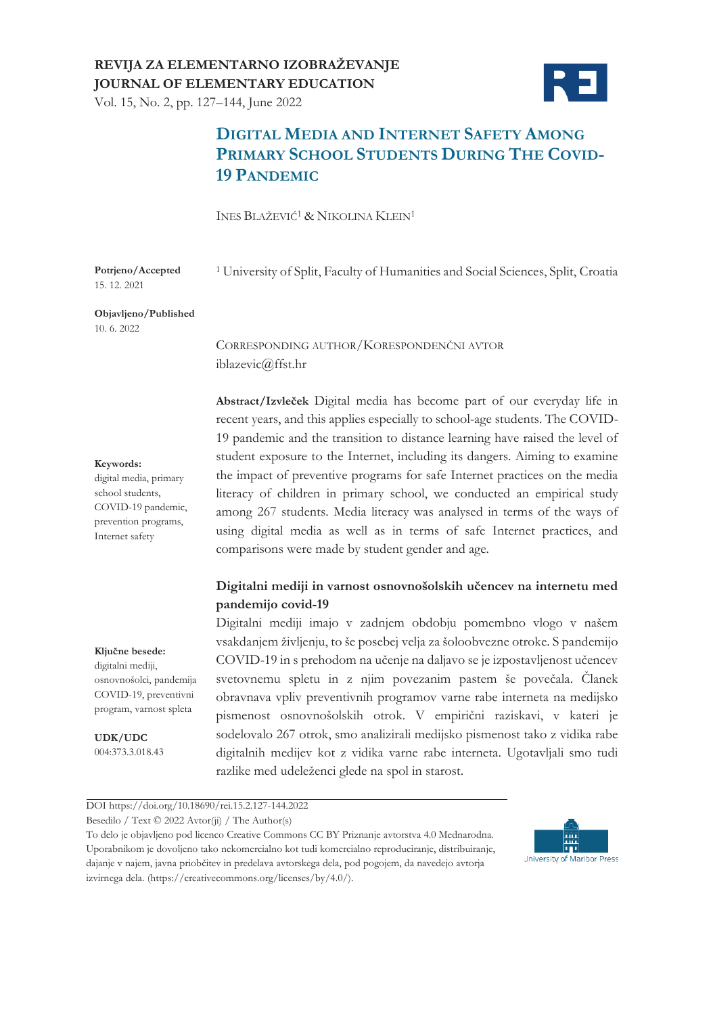# **REVIJA ZA ELEMENTARNO IZOBRAŽEVANJE JOURNAL OF ELEMENTARY EDUCATION**

Vol. 15, No. 2, pp. 127–144, June 2022



# **DIGITAL MEDIA AND INTERNET SAFETY AMONG PRIMARY SCHOOL STUDENTS DURING THE COVID-19 PANDEMIC**

INES BLAŽEVIĆ<sup>1</sup> & NIKOLINA KLEIN1

<sup>1</sup> University of Split, Faculty of Humanities and Social Sciences, Split, Croatia

**Potrjeno/Accepted**  15. 12. 2021

**Objavljeno/Published** 10. 6. 2022

> CORRESPONDING AUTHOR/KORESPONDENČNI AVTOR iblazevic@ffst.hr

**Abstract/Izvleček** Digital media has become part of our everyday life in recent years, and this applies especially to school-age students. The COVID-19 pandemic and the transition to distance learning have raised the level of student exposure to the Internet, including its dangers. Aiming to examine the impact of preventive programs for safe Internet practices on the media literacy of children in primary school, we conducted an empirical study among 267 students. Media literacy was analysed in terms of the ways of using digital media as well as in terms of safe Internet practices, and comparisons were made by student gender and age.

#### **Digitalni mediji in varnost osnovnošolskih učencev na internetu med pandemijo covid-19**

Digitalni mediji imajo v zadnjem obdobju pomembno vlogo v našem vsakdanjem življenju, to še posebej velja za šoloobvezne otroke. S pandemijo COVID-19 in s prehodom na učenje na daljavo se je izpostavljenost učencev svetovnemu spletu in z njim povezanim pastem še povečala. Članek obravnava vpliv preventivnih programov varne rabe interneta na medijsko pismenost osnovnošolskih otrok. V empirični raziskavi, v kateri je sodelovalo 267 otrok, smo analizirali medijsko pismenost tako z vidika rabe digitalnih medijev kot z vidika varne rabe interneta. Ugotavljali smo tudi razlike med udeleženci glede na spol in starost.

program, varnost spleta **UDK/UDC**

004:373.3.018.43

**Ključne besede:** digitalni mediji, osnovnošolci, pandemija COVID-19, preventivni

DOI https://doi.org/10.18690/rei.15.2.127-144.2022

Besedilo / Text © 2022 Avtor(ji) / The Author(s)

To delo je objavljeno pod licenco Creative Commons CC BY Priznanje avtorstva 4.0 Mednarodna. Uporabnikom je dovoljeno tako nekomercialno kot tudi komercialno reproduciranje, distribuiranje, dajanje v najem, javna priobčitev in predelava avtorskega dela, pod pogojem, da navedejo avtorja izvirnega dela. (https://creativecommons.org/licenses/by/4.0/).



#### **Keywords:**

digital media, primary school students, COVID-19 pandemic, prevention programs, Internet safety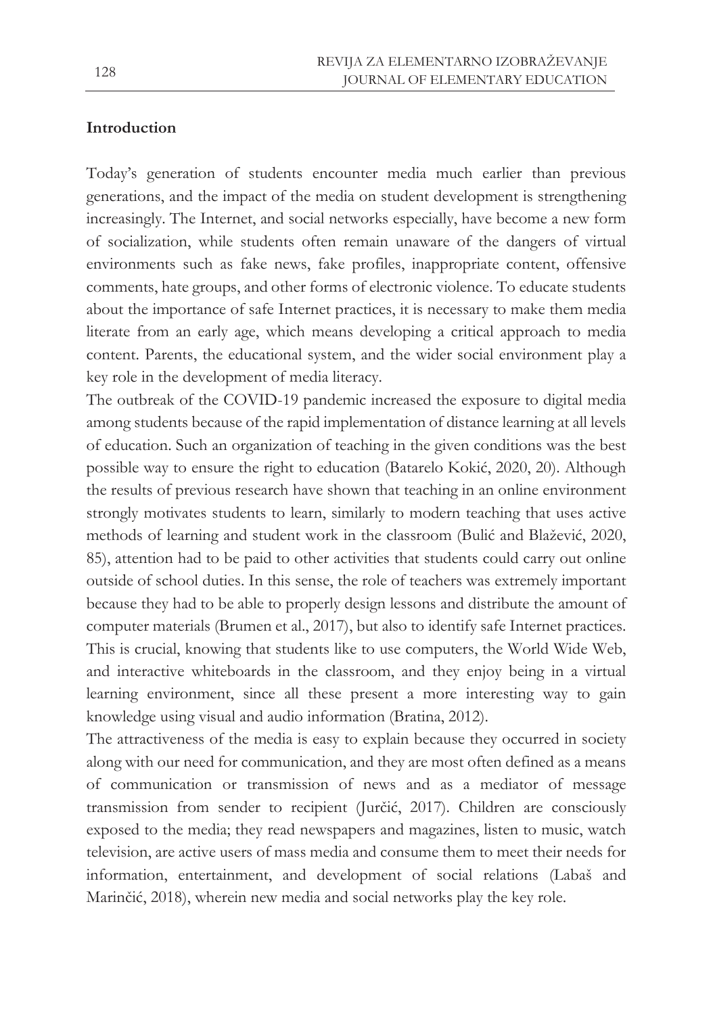### **Introduction**

Today's generation of students encounter media much earlier than previous generations, and the impact of the media on student development is strengthening increasingly. The Internet, and social networks especially, have become a new form of socialization, while students often remain unaware of the dangers of virtual environments such as fake news, fake profiles, inappropriate content, offensive comments, hate groups, and other forms of electronic violence. To educate students about the importance of safe Internet practices, it is necessary to make them media literate from an early age, which means developing a critical approach to media content. Parents, the educational system, and the wider social environment play a key role in the development of media literacy.

The outbreak of the COVID-19 pandemic increased the exposure to digital media among students because of the rapid implementation of distance learning at all levels of education. Such an organization of teaching in the given conditions was the best possible way to ensure the right to education (Batarelo Kokić, 2020, 20). Although the results of previous research have shown that teaching in an online environment strongly motivates students to learn, similarly to modern teaching that uses active methods of learning and student work in the classroom (Bulić and Blažević, 2020, 85), attention had to be paid to other activities that students could carry out online outside of school duties. In this sense, the role of teachers was extremely important because they had to be able to properly design lessons and distribute the amount of computer materials (Brumen et al., 2017), but also to identify safe Internet practices. This is crucial, knowing that students like to use computers, the World Wide Web, and interactive whiteboards in the classroom, and they enjoy being in a virtual learning environment, since all these present a more interesting way to gain knowledge using visual and audio information (Bratina, 2012).

The attractiveness of the media is easy to explain because they occurred in society along with our need for communication, and they are most often defined as a means of communication or transmission of news and as a mediator of message transmission from sender to recipient (Jurčić, 2017). Children are consciously exposed to the media; they read newspapers and magazines, listen to music, watch television, are active users of mass media and consume them to meet their needs for information, entertainment, and development of social relations (Labaš and Marinčić, 2018), wherein new media and social networks play the key role.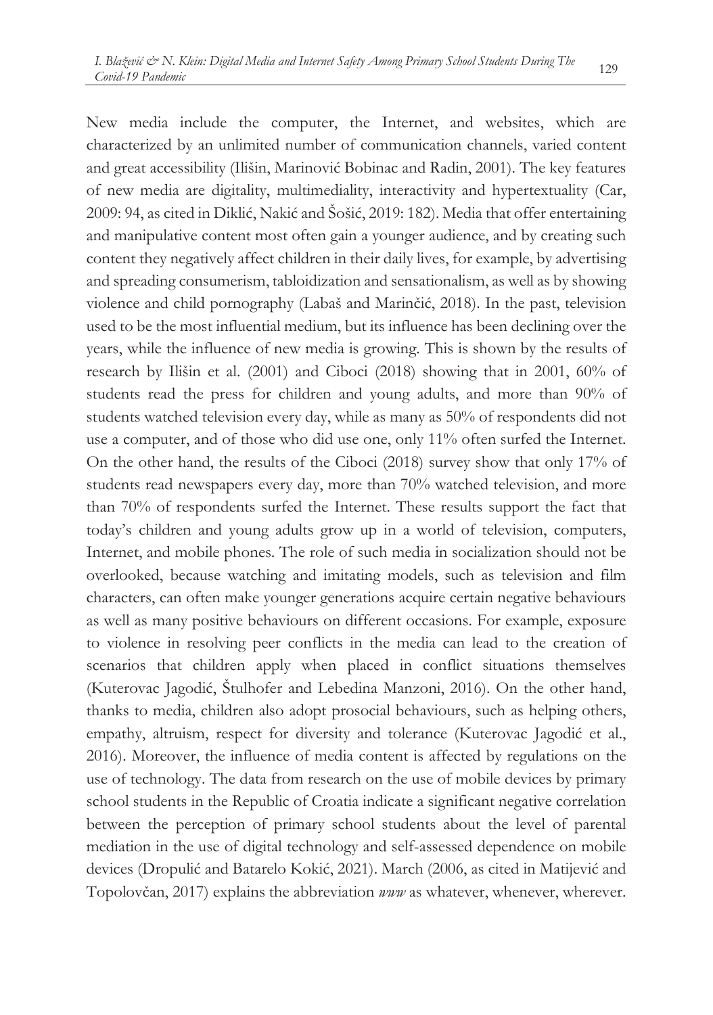New media include the computer, the Internet, and websites, which are characterized by an unlimited number of communication channels, varied content and great accessibility (Ilišin, Marinović Bobinac and Radin, 2001). The key features of new media are digitality, multimediality, interactivity and hypertextuality (Car, 2009: 94, as cited in Diklić, Nakić and Šošić, 2019: 182). Media that offer entertaining and manipulative content most often gain a younger audience, and by creating such content they negatively affect children in their daily lives, for example, by advertising and spreading consumerism, tabloidization and sensationalism, as well as by showing violence and child pornography (Labaš and Marinčić, 2018). In the past, television used to be the most influential medium, but its influence has been declining over the years, while the influence of new media is growing. This is shown by the results of research by Ilišin et al. (2001) and Ciboci (2018) showing that in 2001, 60% of students read the press for children and young adults, and more than 90% of students watched television every day, while as many as 50% of respondents did not use a computer, and of those who did use one, only 11% often surfed the Internet. On the other hand, the results of the Ciboci (2018) survey show that only 17% of students read newspapers every day, more than 70% watched television, and more than 70% of respondents surfed the Internet. These results support the fact that today's children and young adults grow up in a world of television, computers, Internet, and mobile phones. The role of such media in socialization should not be overlooked, because watching and imitating models, such as television and film characters, can often make younger generations acquire certain negative behaviours as well as many positive behaviours on different occasions. For example, exposure to violence in resolving peer conflicts in the media can lead to the creation of scenarios that children apply when placed in conflict situations themselves (Kuterovac Jagodić, Štulhofer and Lebedina Manzoni, 2016). On the other hand, thanks to media, children also adopt prosocial behaviours, such as helping others, empathy, altruism, respect for diversity and tolerance (Kuterovac Jagodić et al., 2016). Moreover, the influence of media content is affected by regulations on the use of technology. The data from research on the use of mobile devices by primary school students in the Republic of Croatia indicate a significant negative correlation between the perception of primary school students about the level of parental mediation in the use of digital technology and self-assessed dependence on mobile devices (Dropulić and Batarelo Kokić, 2021). March (2006, as cited in Matijević and Topolovčan, 2017) explains the abbreviation *www* as whatever, whenever, wherever.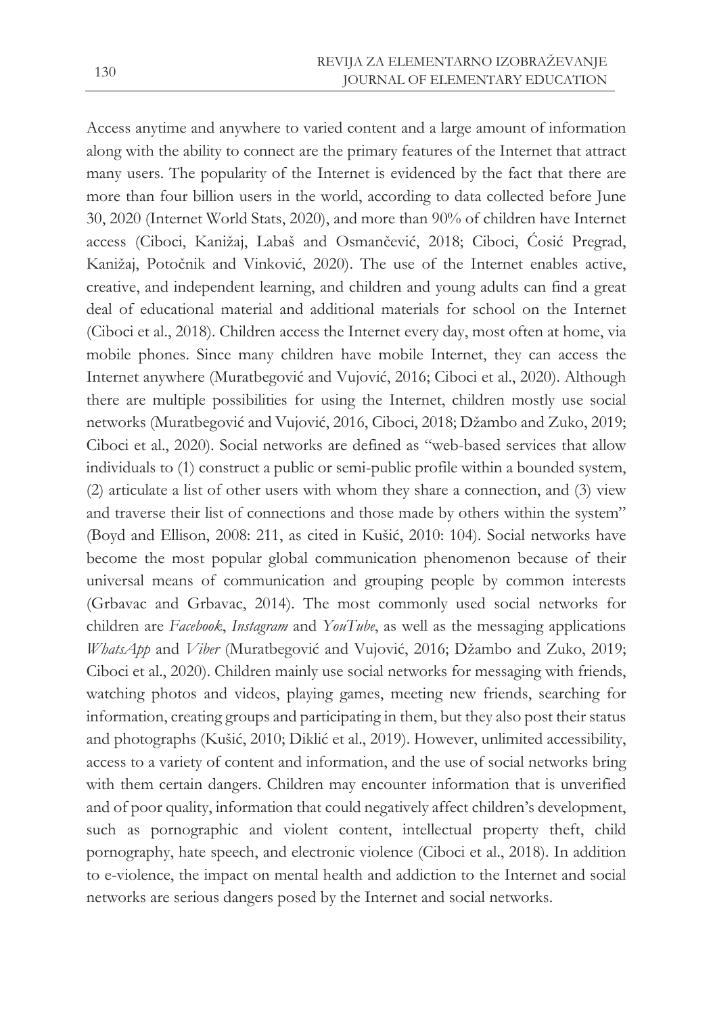Access anytime and anywhere to varied content and a large amount of information along with the ability to connect are the primary features of the Internet that attract many users. The popularity of the Internet is evidenced by the fact that there are more than four billion users in the world, according to data collected before June 30, 2020 (Internet World Stats, 2020), and more than 90% of children have Internet access (Ciboci, Kanižaj, Labaš and Osmančević, 2018; Ciboci, Ćosić Pregrad, Kanižaj, Potočnik and Vinković, 2020). The use of the Internet enables active, creative, and independent learning, and children and young adults can find a great deal of educational material and additional materials for school on the Internet (Ciboci et al., 2018). Children access the Internet every day, most often at home, via mobile phones. Since many children have mobile Internet, they can access the Internet anywhere (Muratbegović and Vujović, 2016; Ciboci et al., 2020). Although there are multiple possibilities for using the Internet, children mostly use social networks (Muratbegović and Vujović, 2016, Ciboci, 2018; Džambo and Zuko, 2019; Ciboci et al., 2020). Social networks are defined as "web-based services that allow individuals to (1) construct a public or semi-public profile within a bounded system, (2) articulate a list of other users with whom they share a connection, and (3) view and traverse their list of connections and those made by others within the system" (Boyd and Ellison, 2008: 211, as cited in Kušić, 2010: 104). Social networks have become the most popular global communication phenomenon because of their universal means of communication and grouping people by common interests (Grbavac and Grbavac, 2014). The most commonly used social networks for children are *Facebook*, *Instagram* and *YouTube*, as well as the messaging applications *WhatsApp* and *Viber* (Muratbegović and Vujović, 2016; Džambo and Zuko, 2019; Ciboci et al., 2020). Children mainly use social networks for messaging with friends, watching photos and videos, playing games, meeting new friends, searching for information, creating groups and participating in them, but they also post their status and photographs (Kušić, 2010; Diklić et al., 2019). However, unlimited accessibility, access to a variety of content and information, and the use of social networks bring with them certain dangers. Children may encounter information that is unverified and of poor quality, information that could negatively affect children's development, such as pornographic and violent content, intellectual property theft, child pornography, hate speech, and electronic violence (Ciboci et al., 2018). In addition to e-violence, the impact on mental health and addiction to the Internet and social networks are serious dangers posed by the Internet and social networks.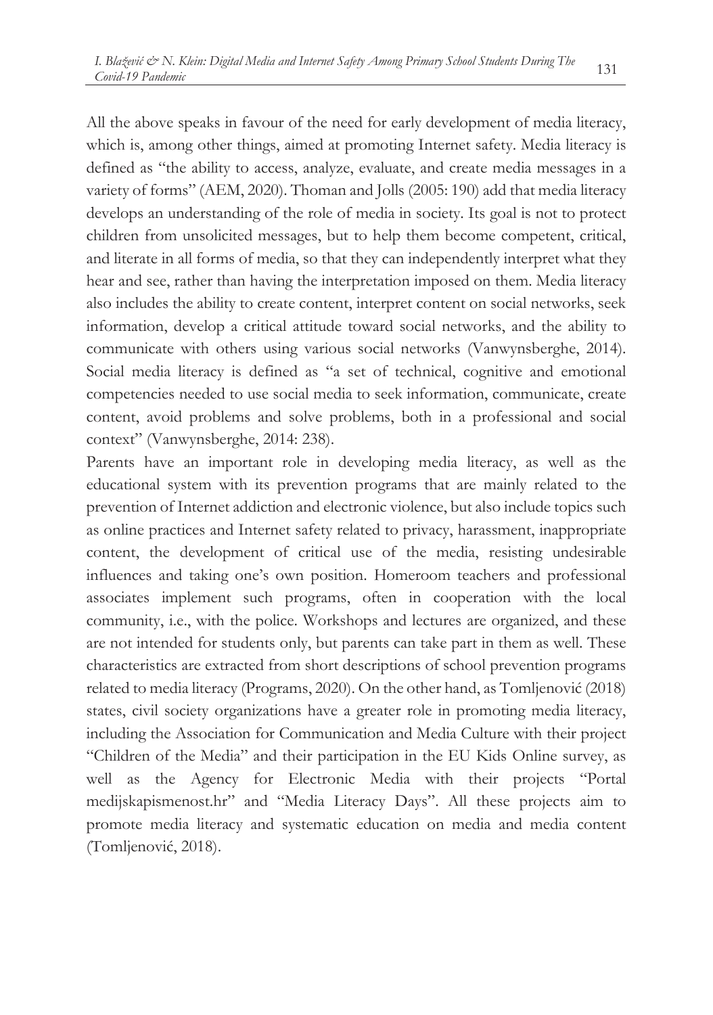All the above speaks in favour of the need for early development of media literacy, which is, among other things, aimed at promoting Internet safety. Media literacy is defined as "the ability to access, analyze, evaluate, and create media messages in a variety of forms" (AEM, 2020). Thoman and Jolls (2005: 190) add that media literacy develops an understanding of the role of media in society. Its goal is not to protect children from unsolicited messages, but to help them become competent, critical, and literate in all forms of media, so that they can independently interpret what they hear and see, rather than having the interpretation imposed on them. Media literacy also includes the ability to create content, interpret content on social networks, seek information, develop a critical attitude toward social networks, and the ability to communicate with others using various social networks (Vanwynsberghe, 2014). Social media literacy is defined as "a set of technical, cognitive and emotional competencies needed to use social media to seek information, communicate, create content, avoid problems and solve problems, both in a professional and social context" (Vanwynsberghe, 2014: 238).

Parents have an important role in developing media literacy, as well as the educational system with its prevention programs that are mainly related to the prevention of Internet addiction and electronic violence, but also include topics such as online practices and Internet safety related to privacy, harassment, inappropriate content, the development of critical use of the media, resisting undesirable influences and taking one's own position. Homeroom teachers and professional associates implement such programs, often in cooperation with the local community, i.e., with the police. Workshops and lectures are organized, and these are not intended for students only, but parents can take part in them as well. These characteristics are extracted from short descriptions of school prevention programs related to media literacy (Programs, 2020). On the other hand, as Tomljenović (2018) states, civil society organizations have a greater role in promoting media literacy, including the Association for Communication and Media Culture with their project "Children of the Media" and their participation in the EU Kids Online survey, as well as the Agency for Electronic Media with their projects "Portal medijskapismenost.hr" and "Media Literacy Days". All these projects aim to promote media literacy and systematic education on media and media content (Tomljenović, 2018).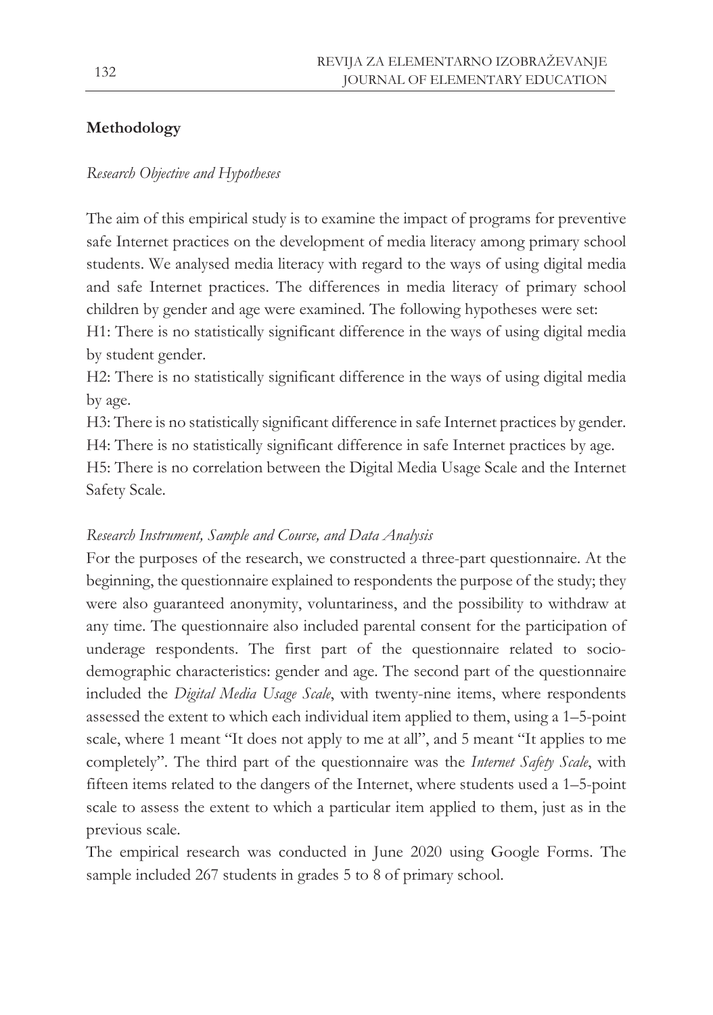# **Methodology**

### *Research Objective and Hypotheses*

The aim of this empirical study is to examine the impact of programs for preventive safe Internet practices on the development of media literacy among primary school students. We analysed media literacy with regard to the ways of using digital media and safe Internet practices. The differences in media literacy of primary school children by gender and age were examined. The following hypotheses were set:

H1: There is no statistically significant difference in the ways of using digital media by student gender.

H2: There is no statistically significant difference in the ways of using digital media by age.

H3: There is no statistically significant difference in safe Internet practices by gender. H4: There is no statistically significant difference in safe Internet practices by age.

H5: There is no correlation between the Digital Media Usage Scale and the Internet Safety Scale.

### *Research Instrument, Sample and Course, and Data Analysis*

For the purposes of the research, we constructed a three-part questionnaire. At the beginning, the questionnaire explained to respondents the purpose of the study; they were also guaranteed anonymity, voluntariness, and the possibility to withdraw at any time. The questionnaire also included parental consent for the participation of underage respondents. The first part of the questionnaire related to sociodemographic characteristics: gender and age. The second part of the questionnaire included the *Digital Media Usage Scale*, with twenty-nine items, where respondents assessed the extent to which each individual item applied to them, using a 1–5-point scale, where 1 meant "It does not apply to me at all", and 5 meant "It applies to me completely". The third part of the questionnaire was the *Internet Safety Scale*, with fifteen items related to the dangers of the Internet, where students used a 1–5-point scale to assess the extent to which a particular item applied to them, just as in the previous scale.

The empirical research was conducted in June 2020 using Google Forms. The sample included 267 students in grades 5 to 8 of primary school.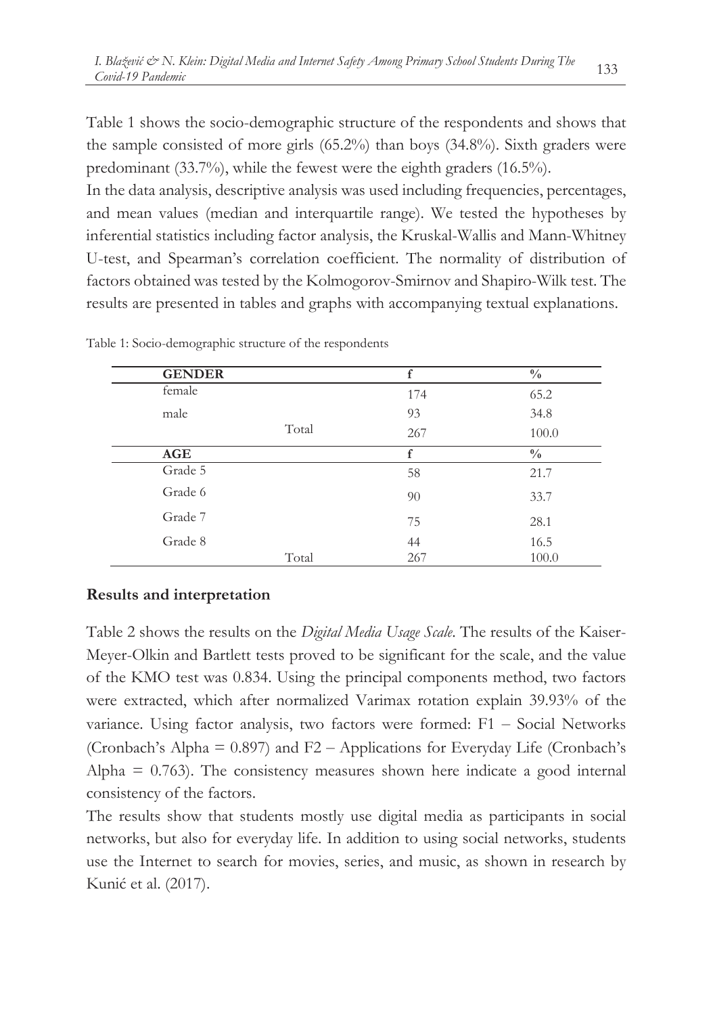Table 1 shows the socio-demographic structure of the respondents and shows that the sample consisted of more girls (65.2%) than boys (34.8%). Sixth graders were predominant (33.7%), while the fewest were the eighth graders (16.5%).

In the data analysis, descriptive analysis was used including frequencies, percentages, and mean values (median and interquartile range). We tested the hypotheses by inferential statistics including factor analysis, the Kruskal-Wallis and Mann-Whitney U-test, and Spearman's correlation coefficient. The normality of distribution of factors obtained was tested by the Kolmogorov-Smirnov and Shapiro-Wilk test. The results are presented in tables and graphs with accompanying textual explanations.

| <b>GENDER</b> |       | f   | $\frac{0}{0}$ |
|---------------|-------|-----|---------------|
| female        |       | 174 | 65.2          |
| male          |       | 93  | 34.8          |
|               | Total | 267 | 100.0         |
| AGE           |       | f   | $\frac{0}{0}$ |
| Grade 5       |       | 58  | 21.7          |
| Grade 6       |       | 90  | 33.7          |
| Grade 7       |       | 75  | 28.1          |
| Grade 8       |       | 44  | 16.5          |
|               | Total | 267 | 100.0         |

Table 1: Socio-demographic structure of the respondents

## **Results and interpretation**

Table 2 shows the results on the *Digital Media Usage Scale*. The results of the Kaiser-Meyer-Olkin and Bartlett tests proved to be significant for the scale, and the value of the KMO test was 0.834. Using the principal components method, two factors were extracted, which after normalized Varimax rotation explain 39.93% of the variance. Using factor analysis, two factors were formed:  $F1 - Social Networks$ (Cronbach's Alpha  $= 0.897$ ) and  $F2 -$  Applications for Everyday Life (Cronbach's Alpha  $= 0.763$ ). The consistency measures shown here indicate a good internal consistency of the factors.

The results show that students mostly use digital media as participants in social networks, but also for everyday life. In addition to using social networks, students use the Internet to search for movies, series, and music, as shown in research by Kunić et al. (2017).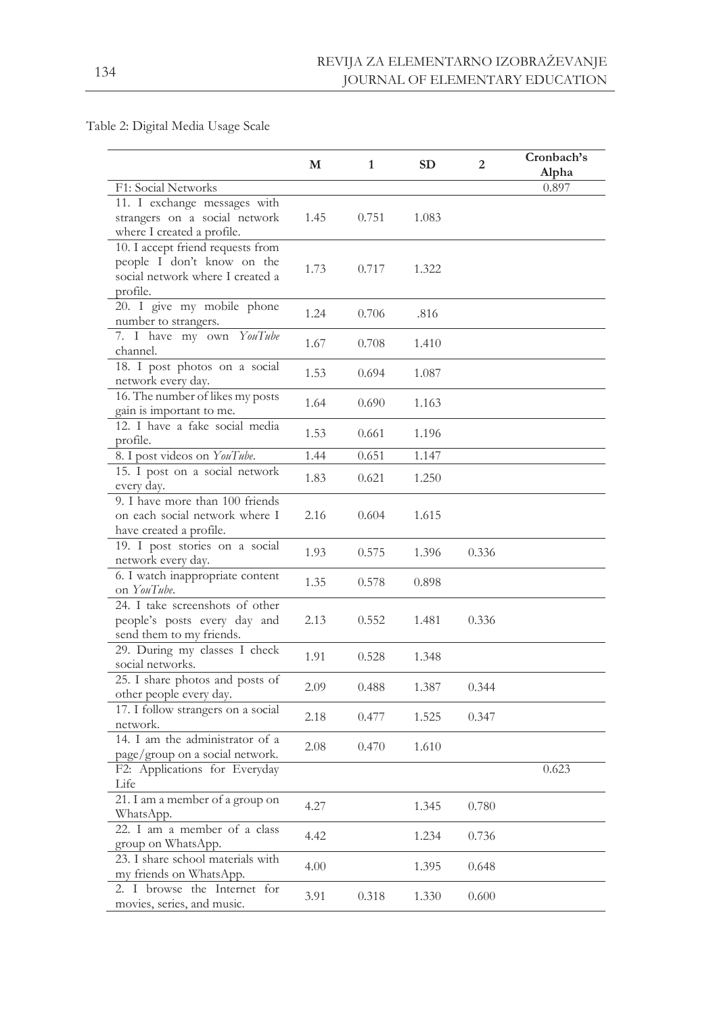Table 2: Digital Media Usage Scale

|                                                | М    | $\mathbf{1}$ | <b>SD</b> | $\overline{2}$ | Cronbach's<br>Alpha |
|------------------------------------------------|------|--------------|-----------|----------------|---------------------|
| F1: Social Networks                            |      |              |           |                | 0.897               |
| 11. I exchange messages with                   |      |              |           |                |                     |
| strangers on a social network                  | 1.45 | 0.751        | 1.083     |                |                     |
| where I created a profile.                     |      |              |           |                |                     |
| 10. I accept friend requests from              |      |              |           |                |                     |
| people I don't know on the                     |      |              |           |                |                     |
| social network where I created a               | 1.73 | 0.717        | 1.322     |                |                     |
| profile.                                       |      |              |           |                |                     |
| 20. I give my mobile phone                     | 1.24 |              |           |                |                     |
| number to strangers.                           |      | 0.706        | .816      |                |                     |
| 7. I have my own YouTube                       | 1.67 | 0.708        | 1.410     |                |                     |
| channel.                                       |      |              |           |                |                     |
| 18. I post photos on a social                  | 1.53 | 0.694        | 1.087     |                |                     |
| network every day.                             |      |              |           |                |                     |
| 16. The number of likes my posts               | 1.64 | 0.690        | 1.163     |                |                     |
| gain is important to me.                       |      |              |           |                |                     |
| 12. I have a fake social media                 | 1.53 | 0.661        | 1.196     |                |                     |
| profile.                                       |      |              |           |                |                     |
| 8. I post videos on YouTube.                   | 1.44 | 0.651        | 1.147     |                |                     |
| 15. I post on a social network                 | 1.83 | 0.621        | 1.250     |                |                     |
| every day.                                     |      |              |           |                |                     |
| 9. I have more than 100 friends                |      |              |           |                |                     |
| on each social network where I                 | 2.16 | 0.604        | 1.615     |                |                     |
| have created a profile.                        |      |              |           |                |                     |
| 19. I post stories on a social                 | 1.93 | 0.575        | 1.396     | 0.336          |                     |
| network every day.                             |      |              |           |                |                     |
| 6. I watch inappropriate content               | 1.35 | 0.578        | 0.898     |                |                     |
| on YouTube.                                    |      |              |           |                |                     |
| 24. I take screenshots of other                |      |              |           |                |                     |
| people's posts every day and                   | 2.13 | 0.552        | 1.481     | 0.336          |                     |
| send them to my friends.                       |      |              |           |                |                     |
| 29. During my classes I check                  | 1.91 | 0.528        | 1.348     |                |                     |
| social networks.                               |      |              |           |                |                     |
| 25. I share photos and posts of                | 2.09 | 0.488        | 1.387     | 0.344          |                     |
| other people every day.                        |      |              |           |                |                     |
| 17. I follow strangers on a social<br>network. | 2.18 | 0.477        | 1.525     | 0.347          |                     |
| 14. I am the administrator of a                |      |              |           |                |                     |
| page/group on a social network.                | 2.08 | 0.470        | 1.610     |                |                     |
| F2: Applications for Everyday                  |      |              |           |                | 0.623               |
| Life                                           |      |              |           |                |                     |
| 21. I am a member of a group on                |      |              |           |                |                     |
| WhatsApp.                                      | 4.27 |              | 1.345     | 0.780          |                     |
| 22. I am a member of a class                   |      |              |           |                |                     |
| group on WhatsApp.                             | 4.42 |              | 1.234     | 0.736          |                     |
| 23. I share school materials with              |      |              |           |                |                     |
| my friends on WhatsApp.                        | 4.00 |              | 1.395     | 0.648          |                     |
| 2. I browse the Internet for                   |      |              |           |                |                     |
| movies, series, and music.                     | 3.91 | 0.318        | 1.330     | 0.600          |                     |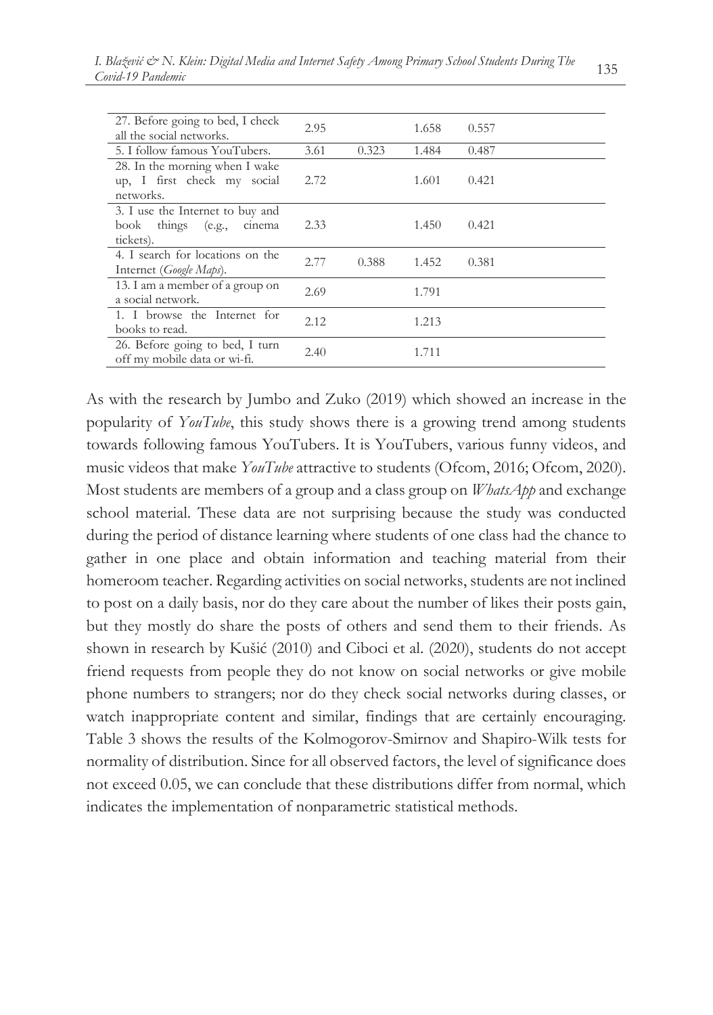| 27. Before going to bed, I check<br>all the social networks.                  | 2.95 |       | 1.658 | 0.557 |
|-------------------------------------------------------------------------------|------|-------|-------|-------|
| 5. I follow famous YouTubers.                                                 | 3.61 | 0.323 | 1.484 | 0.487 |
| 28. In the morning when I wake<br>up, I first check my social<br>networks.    | 2.72 |       | 1.601 | 0.421 |
| 3. I use the Internet to buy and<br>book things (e.g.,<br>cinema<br>tickets). | 2.33 |       | 1.450 | 0.421 |
| 4. I search for locations on the<br>Internet (Google Maps).                   | 2.77 | 0.388 | 1.452 | 0.381 |
| 13. I am a member of a group on<br>a social network.                          | 2.69 |       | 1.791 |       |
| 1. I browse the Internet for<br>books to read.                                | 2.12 |       | 1.213 |       |
| 26. Before going to bed, I turn<br>off my mobile data or wi-fi.               | 2.40 |       | 1.711 |       |

As with the research by Jumbo and Zuko (2019) which showed an increase in the popularity of *YouTube*, this study shows there is a growing trend among students towards following famous YouTubers. It is YouTubers, various funny videos, and music videos that make *YouTube* attractive to students (Ofcom, 2016; Ofcom, 2020). Most students are members of a group and a class group on *WhatsApp* and exchange school material. These data are not surprising because the study was conducted during the period of distance learning where students of one class had the chance to gather in one place and obtain information and teaching material from their homeroom teacher. Regarding activities on social networks, students are not inclined to post on a daily basis, nor do they care about the number of likes their posts gain, but they mostly do share the posts of others and send them to their friends. As shown in research by Kušić (2010) and Ciboci et al. (2020), students do not accept friend requests from people they do not know on social networks or give mobile phone numbers to strangers; nor do they check social networks during classes, or watch inappropriate content and similar, findings that are certainly encouraging. Table 3 shows the results of the Kolmogorov-Smirnov and Shapiro-Wilk tests for normality of distribution. Since for all observed factors, the level of significance does not exceed 0.05, we can conclude that these distributions differ from normal, which indicates the implementation of nonparametric statistical methods.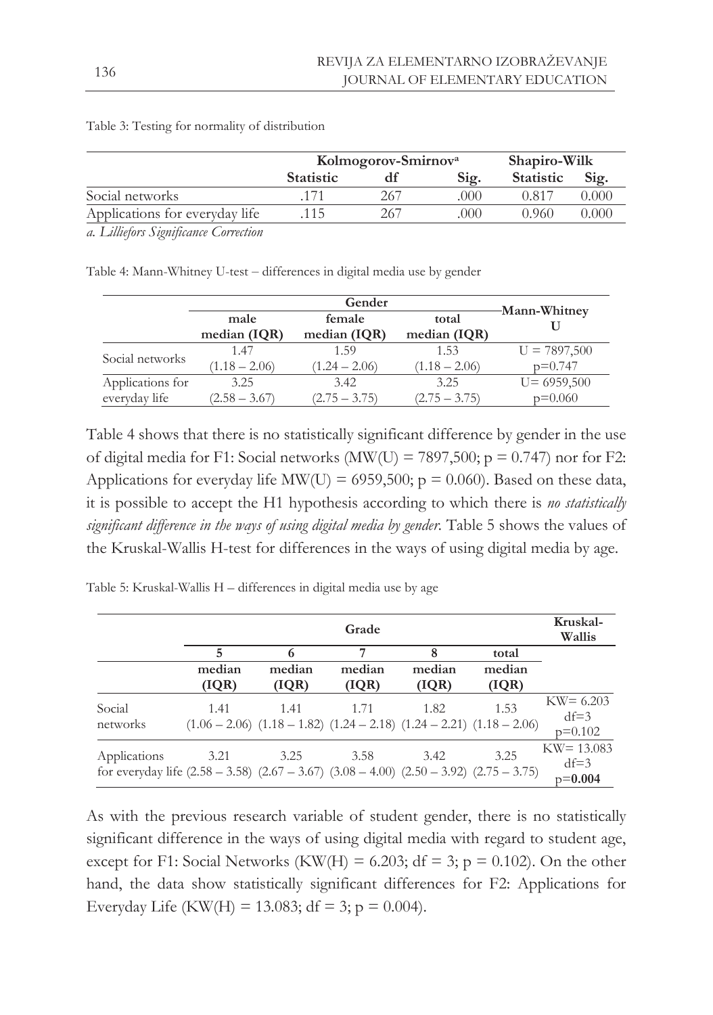|                                | Kolmogorov-Smirnov <sup>a</sup> | Shapiro-Wilk |      |                  |       |
|--------------------------------|---------------------------------|--------------|------|------------------|-------|
|                                | <b>Statistic</b>                |              | Sig. | <b>Statistic</b> | Sig.  |
| Social networks                |                                 | 267          | 000  | ).817            | 0.000 |
| Applications for everyday life | 15                              | 267          | 000  | 0.960            | 0.000 |

Table 3: Testing for normality of distribution

*a. Lilliefors Significance Correction*

Table 4: Mann-Whitney U-test - differences in digital media use by gender

|                  |                      | -Mann-Whitney            |                       |                |
|------------------|----------------------|--------------------------|-----------------------|----------------|
|                  | male<br>median (IQR) | female<br>median $(IQR)$ | total<br>median (IQR) |                |
| Social networks  | 1.47                 | 1.59                     | 1.53                  | $U = 7897,500$ |
|                  | $(1.18 - 2.06)$      | $(1.24 - 2.06)$          | $(1.18 - 2.06)$       | $p=0.747$      |
| Applications for | 3.25                 | 3.42                     | 3.25                  | $U = 6959,500$ |
| everyday life    | $(2.58 - 3.67)$      | $(2.75 - 3.75)$          | $(2.75 - 3.75)$       | $p=0.060$      |

Table 4 shows that there is no statistically significant difference by gender in the use of digital media for F1: Social networks (MW(U) = 7897,500;  $p = 0.747$ ) nor for F2: Applications for everyday life MW(U) = 6959,500;  $p = 0.060$ ). Based on these data, it is possible to accept the H1 hypothesis according to which there is *no statistically significant difference in the ways of using digital media by gender.* Table 5 shows the values of the Kruskal-Wallis H-test for differences in the ways of using digital media by age.

Table 5: Kruskal-Wallis H – differences in digital media use by age

|                                                                                                                   |        | Grade  |                                                                                         |        |        |                                      |  |  |
|-------------------------------------------------------------------------------------------------------------------|--------|--------|-----------------------------------------------------------------------------------------|--------|--------|--------------------------------------|--|--|
|                                                                                                                   | 5      | 6      | 7                                                                                       | 8      | total  |                                      |  |  |
|                                                                                                                   | median | median | median                                                                                  | median | median |                                      |  |  |
|                                                                                                                   | (IQR)  | ( IQR) | (IQR)                                                                                   | ( IQR) | (IQR)  |                                      |  |  |
| Social<br>networks                                                                                                | 1.41   | 1.41   | 1.71<br>$(1.06 - 2.06)$ $(1.18 - 1.82)$ $(1.24 - 2.18)$ $(1.24 - 2.21)$ $(1.18 - 2.06)$ | 1.82   | 1.53   | $KW = 6.203$<br>$df=3$<br>$p=0.102$  |  |  |
| Applications<br>for everyday life $(2.58 - 3.58)$ $(2.67 - 3.67)$ $(3.08 - 4.00)$ $(2.50 - 3.92)$ $(2.75 - 3.75)$ | 3.21   | 3.25   | 3.58                                                                                    | 3.42   | 3.25   | $KW = 13.083$<br>$df=3$<br>$p=0.004$ |  |  |

As with the previous research variable of student gender, there is no statistically significant difference in the ways of using digital media with regard to student age, except for F1: Social Networks (KW(H) = 6.203; df = 3; p = 0.102). On the other hand, the data show statistically significant differences for F2: Applications for Everyday Life (KW(H) = 13.083; df = 3; p = 0.004).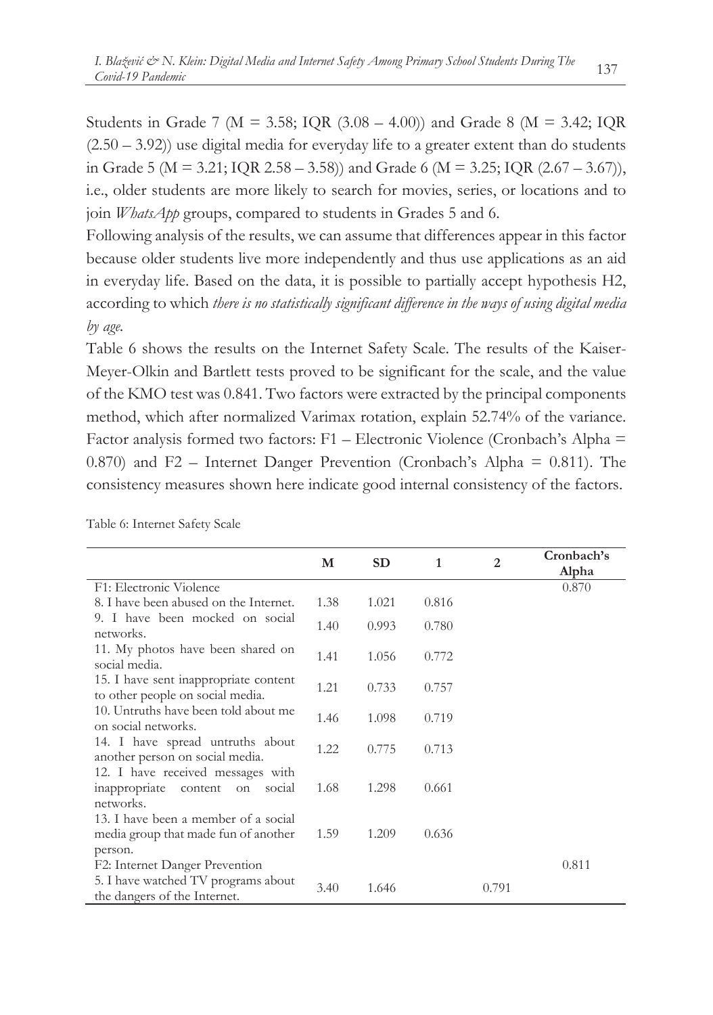Students in Grade 7 ( $M = 3.58$ ; IQR (3.08 – 4.00)) and Grade 8 ( $M = 3.42$ ; IQR  $(2.50 - 3.92)$ ) use digital media for everyday life to a greater extent than do students in Grade 5 ( $M = 3.21$ ; IQR 2.58 – 3.58)) and Grade 6 ( $M = 3.25$ ; IQR (2.67 – 3.67)), i.e., older students are more likely to search for movies, series, or locations and to join *WhatsApp* groups, compared to students in Grades 5 and 6.

Following analysis of the results, we can assume that differences appear in this factor because older students live more independently and thus use applications as an aid in everyday life. Based on the data, it is possible to partially accept hypothesis H2, according to which *there is no statistically significant difference in the ways of using digital media by age.*

Table 6 shows the results on the Internet Safety Scale. The results of the Kaiser-Meyer-Olkin and Bartlett tests proved to be significant for the scale, and the value of the KMO test was 0.841. Two factors were extracted by the principal components method, which after normalized Varimax rotation, explain 52.74% of the variance. Factor analysis formed two factors:  $F1$  – Electronic Violence (Cronbach's Alpha = 0.870) and F2 – Internet Danger Prevention (Cronbach's Alpha = 0.811). The consistency measures shown here indicate good internal consistency of the factors.

|                                                                                                       | М    | <b>SD</b> | 1     | $\overline{2}$ | Cronbach's<br>Alpha |
|-------------------------------------------------------------------------------------------------------|------|-----------|-------|----------------|---------------------|
| F1: Electronic Violence                                                                               |      |           |       |                | 0.870               |
| 8. I have been abused on the Internet.                                                                | 1.38 | 1.021     | 0.816 |                |                     |
| 9. I have been mocked on social<br>networks.                                                          | 1.40 | 0.993     | 0.780 |                |                     |
| 11. My photos have been shared on<br>social media.                                                    | 1.41 | 1.056     | 0.772 |                |                     |
| 15. I have sent inappropriate content<br>to other people on social media.                             | 1.21 | 0.733     | 0.757 |                |                     |
| 10. Untruths have been told about me<br>on social networks.                                           | 1.46 | 1.098     | 0.719 |                |                     |
| 14. I have spread untruths about<br>another person on social media.                                   | 1.22 | 0.775     | 0.713 |                |                     |
| 12. I have received messages with<br>inappropriate<br>content<br>social<br>on<br>networks.            | 1.68 | 1.298     | 0.661 |                |                     |
| 13. I have been a member of a social<br>media group that made fun of another<br>person.               | 1.59 | 1.209     | 0.636 |                |                     |
| F2: Internet Danger Prevention<br>5. I have watched TV programs about<br>the dangers of the Internet. | 3.40 | 1.646     |       | 0.791          | 0.811               |

Table 6: Internet Safety Scale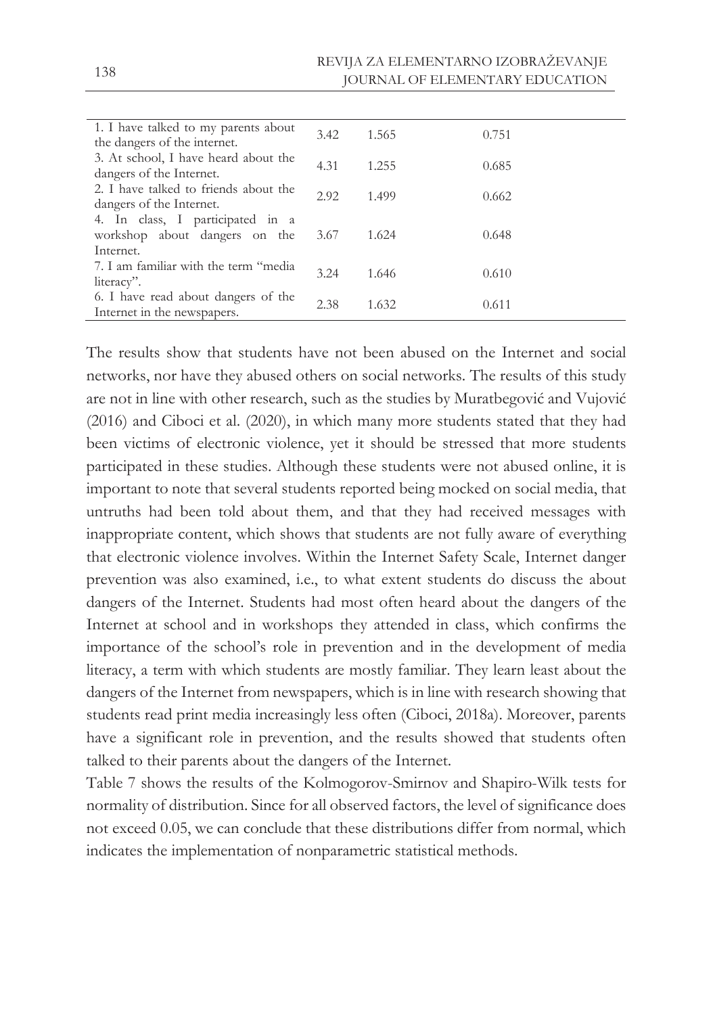| 1. I have talked to my parents about<br>the dangers of the internet.           | 3.42 | 1.565 | 0.751 |
|--------------------------------------------------------------------------------|------|-------|-------|
| 3. At school, I have heard about the<br>dangers of the Internet.               | 4.31 | 1.255 | 0.685 |
| 2. I have talked to friends about the<br>dangers of the Internet.              | 2.92 | 1.499 | 0.662 |
| 4. In class, I participated in a<br>workshop about dangers on the<br>Internet. | 3.67 | 1.624 | 0.648 |
| 7. I am familiar with the term "media<br>literacy".                            | 3.24 | 1.646 | 0.610 |
| 6. I have read about dangers of the<br>Internet in the newspapers.             | 2.38 | 1.632 | 0.611 |

The results show that students have not been abused on the Internet and social networks, nor have they abused others on social networks. The results of this study are not in line with other research, such as the studies by Muratbegović and Vujović (2016) and Ciboci et al. (2020), in which many more students stated that they had been victims of electronic violence, yet it should be stressed that more students participated in these studies. Although these students were not abused online, it is important to note that several students reported being mocked on social media, that untruths had been told about them, and that they had received messages with inappropriate content, which shows that students are not fully aware of everything that electronic violence involves. Within the Internet Safety Scale, Internet danger prevention was also examined, i.e., to what extent students do discuss the about dangers of the Internet. Students had most often heard about the dangers of the Internet at school and in workshops they attended in class, which confirms the importance of the school's role in prevention and in the development of media literacy, a term with which students are mostly familiar. They learn least about the dangers of the Internet from newspapers, which is in line with research showing that students read print media increasingly less often (Ciboci, 2018a). Moreover, parents have a significant role in prevention, and the results showed that students often talked to their parents about the dangers of the Internet.

Table 7 shows the results of the Kolmogorov-Smirnov and Shapiro-Wilk tests for normality of distribution. Since for all observed factors, the level of significance does not exceed 0.05, we can conclude that these distributions differ from normal, which indicates the implementation of nonparametric statistical methods.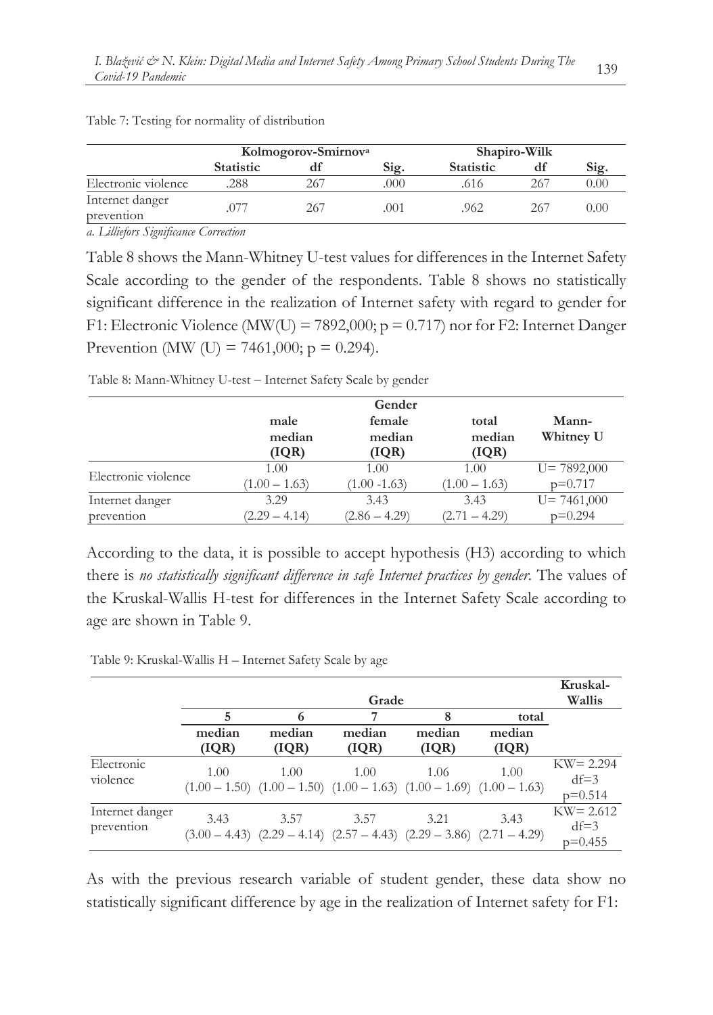|                               | Kolmogorov-Smirnov <sup>a</sup> |     |      | Shapiro-Wilk     |     |          |
|-------------------------------|---------------------------------|-----|------|------------------|-----|----------|
|                               | <b>Statistic</b>                | dt  | Sig. | <b>Statistic</b> |     | Sig.     |
| Electronic violence           | 288                             | 267 | .000 | .616             | 267 | $0.00\,$ |
| Internet danger<br>prevention |                                 | 267 | .001 | .962             | 267 | 0.00     |

Table 7: Testing for normality of distribution

*a. Lilliefors Significance Correction*

Table 8 shows the Mann-Whitney U-test values for differences in the Internet Safety Scale according to the gender of the respondents. Table 8 shows no statistically significant difference in the realization of Internet safety with regard to gender for F1: Electronic Violence (MW(U) = 7892,000;  $p = 0.717$ ) nor for F2: Internet Danger Prevention (MW (U) = 7461,000;  $p = 0.294$ ).

Table 8: Mann-Whitney U-test - Internet Safety Scale by gender

|                     | male<br>median  | female<br>median | total<br>median | Mann-<br>Whitney U |
|---------------------|-----------------|------------------|-----------------|--------------------|
|                     | (IQR)           | (IQR)            | (IQR)           |                    |
| Electronic violence | 1.00            | 1.00             | 1.00            | $U = 7892,000$     |
|                     | $(1.00 - 1.63)$ | $(1.00 - 1.63)$  | $(1.00 - 1.63)$ | $p=0.717$          |
| Internet danger     | 3.29            | 3.43             | 3.43            | $U = 7461,000$     |
| prevention          | $(2.29 - 4.14)$ | $(2.86 - 4.29)$  | $(2.71 - 4.29)$ | $p=0.294$          |

According to the data, it is possible to accept hypothesis (H3) according to which there is *no statistically significant difference in safe Internet practices by gender.* The values of the Kruskal-Wallis H-test for differences in the Internet Safety Scale according to age are shown in Table 9.

Table 9: Kruskal-Wallis H – Internet Safety Scale by age

|                               |                 | Kruskal-<br>Wallis                                                                      |                  |                  |                 |                                     |
|-------------------------------|-----------------|-----------------------------------------------------------------------------------------|------------------|------------------|-----------------|-------------------------------------|
|                               | 5               |                                                                                         |                  | 8                | total           |                                     |
|                               | median<br>(IQR) | median<br>(IQR)                                                                         | median<br>( IQR) | median<br>( IQR) | median<br>(IQR) |                                     |
| Electronic<br>violence        | 1.00            | 1.00<br>$(1.00 - 1.50)$ $(1.00 - 1.50)$ $(1.00 - 1.63)$ $(1.00 - 1.69)$ $(1.00 - 1.63)$ | 1.00             | 1.06             | 1.00            | $KW = 2.294$<br>$df=3$<br>$p=0.514$ |
| Internet danger<br>prevention | 3.43            | 3.57<br>$(3.00 - 4.43)$ $(2.29 - 4.14)$ $(2.57 - 4.43)$ $(2.29 - 3.86)$ $(2.71 - 4.29)$ | 3.57             | 3.21             | 3.43            | $KW = 2.612$<br>$df=3$<br>$p=0.455$ |

As with the previous research variable of student gender, these data show no statistically significant difference by age in the realization of Internet safety for F1: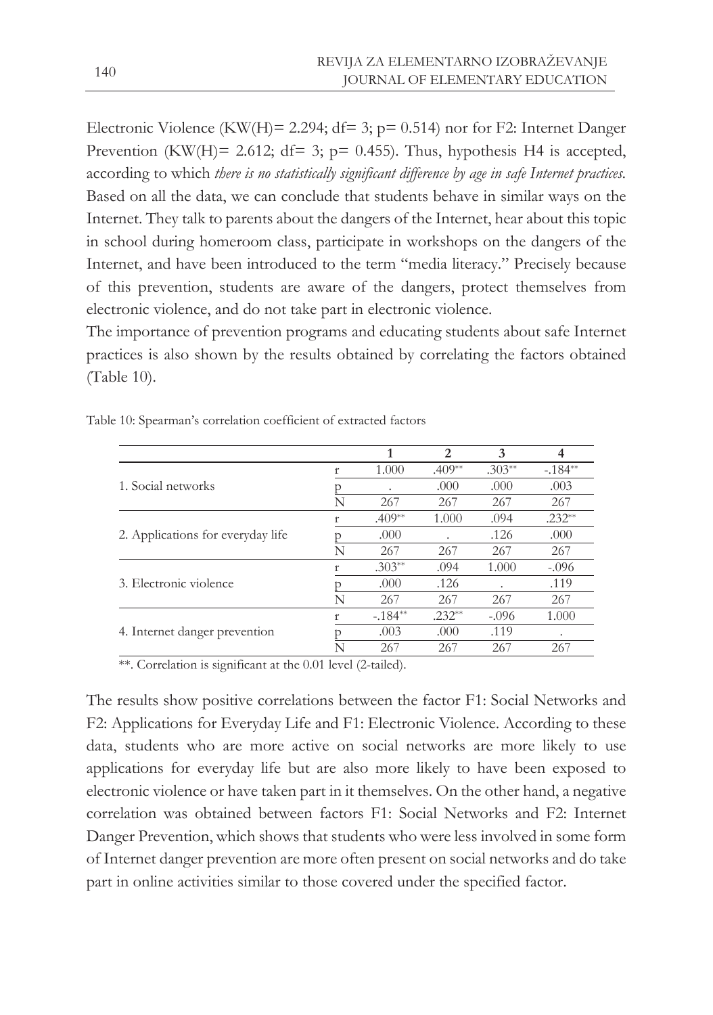Electronic Violence (KW(H)= 2.294; df= 3;  $p= 0.514$ ) nor for F2: Internet Danger Prevention (KW(H)= 2.612; df= 3;  $p=$  0.455). Thus, hypothesis H4 is accepted, according to which *there is no statistically significant difference by age in safe Internet practices.* Based on all the data, we can conclude that students behave in similar ways on the Internet. They talk to parents about the dangers of the Internet, hear about this topic in school during homeroom class, participate in workshops on the dangers of the Internet, and have been introduced to the term "media literacy." Precisely because of this prevention, students are aware of the dangers, protect themselves from electronic violence, and do not take part in electronic violence.

The importance of prevention programs and educating students about safe Internet practices is also shown by the results obtained by correlating the factors obtained (Table 10).

|                                   |   | 1         | 2        | 3        |          |
|-----------------------------------|---|-----------|----------|----------|----------|
|                                   | ť | 1.000     | $.409**$ | $.303**$ | $-184**$ |
| 1. Social networks                |   |           | .000     | .000     | .003     |
|                                   | N | 267       | 267      | 267      | 267      |
|                                   |   | $.409**$  | 1.000    | .094     | $.232**$ |
| 2. Applications for everyday life |   | .000      |          | .126     | .000     |
|                                   | N | 267       | 267      | 267      | 267      |
|                                   |   | $.303**$  | .094     | 1.000    | $-.096$  |
| 3. Electronic violence            |   | .000      | .126     |          | .119     |
|                                   | N | 267       | 267      | 267      | 267      |
|                                   |   | $-.184**$ | $.232**$ | $-.096$  | 1.000    |
| 4. Internet danger prevention     |   | .003      | .000     | .119     | ٠        |
|                                   | N | 267       | 267      | 267      | 267      |

Table 10: Spearman's correlation coefficient of extracted factors

\*\*. Correlation is significant at the 0.01 level (2-tailed).

The results show positive correlations between the factor F1: Social Networks and F2: Applications for Everyday Life and F1: Electronic Violence. According to these data, students who are more active on social networks are more likely to use applications for everyday life but are also more likely to have been exposed to electronic violence or have taken part in it themselves. On the other hand, a negative correlation was obtained between factors F1: Social Networks and F2: Internet Danger Prevention, which shows that students who were less involved in some form of Internet danger prevention are more often present on social networks and do take part in online activities similar to those covered under the specified factor.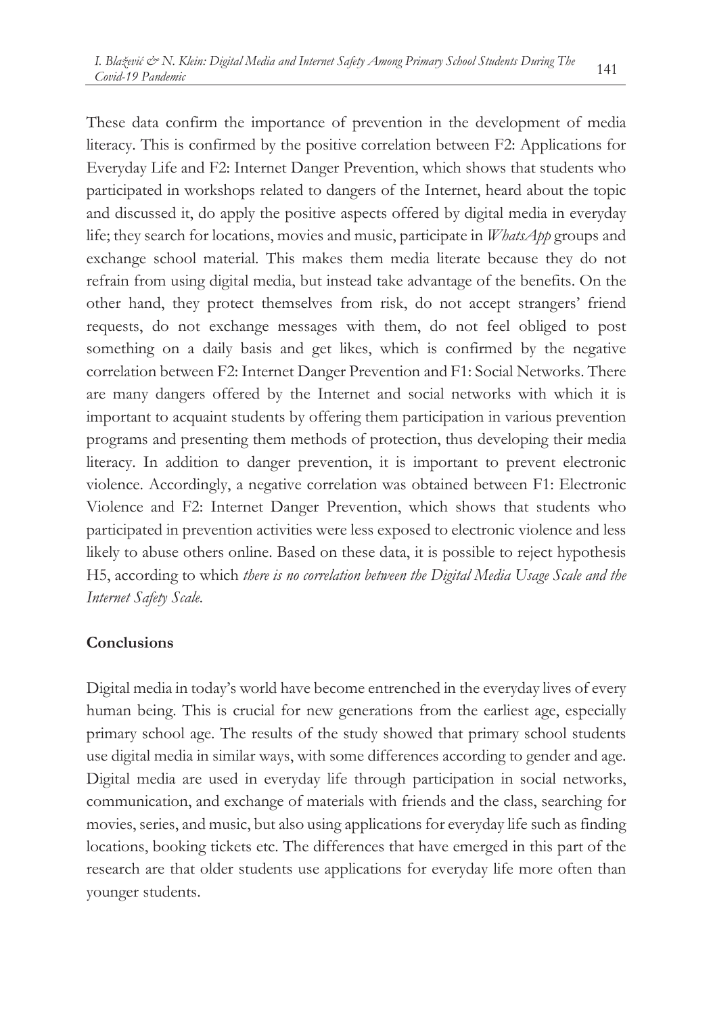These data confirm the importance of prevention in the development of media literacy. This is confirmed by the positive correlation between F2: Applications for Everyday Life and F2: Internet Danger Prevention, which shows that students who participated in workshops related to dangers of the Internet, heard about the topic and discussed it, do apply the positive aspects offered by digital media in everyday life; they search for locations, movies and music, participate in *WhatsApp* groups and exchange school material. This makes them media literate because they do not refrain from using digital media, but instead take advantage of the benefits. On the other hand, they protect themselves from risk, do not accept strangers' friend requests, do not exchange messages with them, do not feel obliged to post something on a daily basis and get likes, which is confirmed by the negative correlation between F2: Internet Danger Prevention and F1: Social Networks. There are many dangers offered by the Internet and social networks with which it is important to acquaint students by offering them participation in various prevention programs and presenting them methods of protection, thus developing their media literacy. In addition to danger prevention, it is important to prevent electronic violence. Accordingly, a negative correlation was obtained between F1: Electronic Violence and F2: Internet Danger Prevention, which shows that students who participated in prevention activities were less exposed to electronic violence and less likely to abuse others online. Based on these data, it is possible to reject hypothesis H5, according to which *there is no correlation between the Digital Media Usage Scale and the Internet Safety Scale.*

### **Conclusions**

Digital media in today's world have become entrenched in the everyday lives of every human being. This is crucial for new generations from the earliest age, especially primary school age. The results of the study showed that primary school students use digital media in similar ways, with some differences according to gender and age. Digital media are used in everyday life through participation in social networks, communication, and exchange of materials with friends and the class, searching for movies, series, and music, but also using applications for everyday life such as finding locations, booking tickets etc. The differences that have emerged in this part of the research are that older students use applications for everyday life more often than younger students.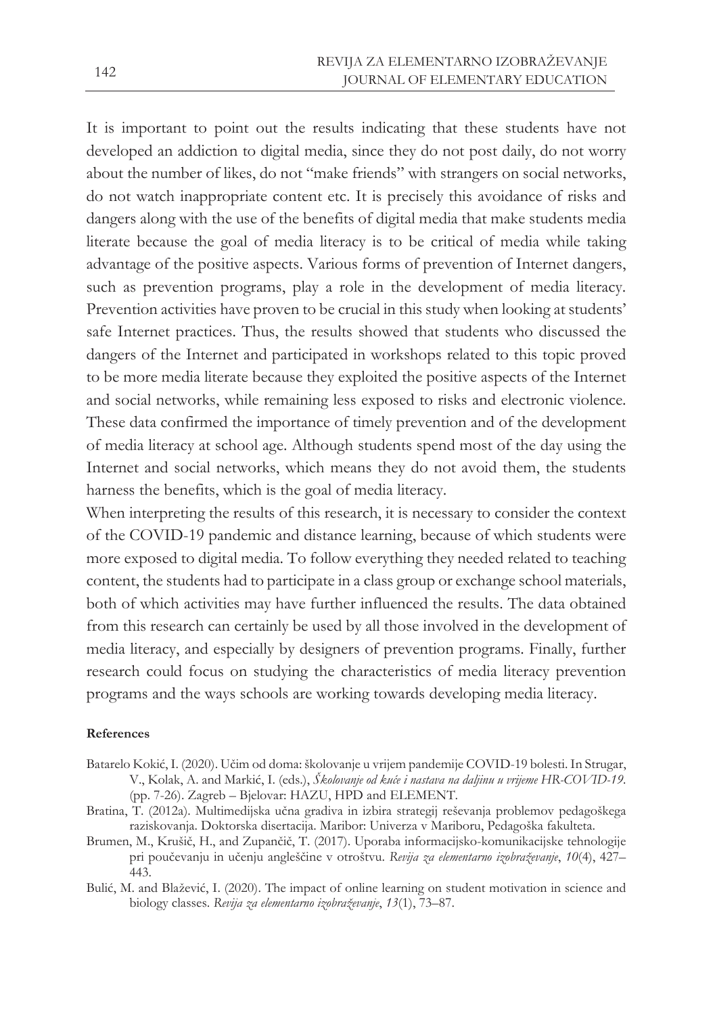It is important to point out the results indicating that these students have not developed an addiction to digital media, since they do not post daily, do not worry about the number of likes, do not "make friends" with strangers on social networks, do not watch inappropriate content etc. It is precisely this avoidance of risks and dangers along with the use of the benefits of digital media that make students media literate because the goal of media literacy is to be critical of media while taking advantage of the positive aspects. Various forms of prevention of Internet dangers, such as prevention programs, play a role in the development of media literacy. Prevention activities have proven to be crucial in this study when looking at students' safe Internet practices. Thus, the results showed that students who discussed the dangers of the Internet and participated in workshops related to this topic proved to be more media literate because they exploited the positive aspects of the Internet and social networks, while remaining less exposed to risks and electronic violence. These data confirmed the importance of timely prevention and of the development of media literacy at school age. Although students spend most of the day using the Internet and social networks, which means they do not avoid them, the students harness the benefits, which is the goal of media literacy.

When interpreting the results of this research, it is necessary to consider the context of the COVID-19 pandemic and distance learning, because of which students were more exposed to digital media. To follow everything they needed related to teaching content, the students had to participate in a class group or exchange school materials, both of which activities may have further influenced the results. The data obtained from this research can certainly be used by all those involved in the development of media literacy, and especially by designers of prevention programs. Finally, further research could focus on studying the characteristics of media literacy prevention programs and the ways schools are working towards developing media literacy.

#### **References**

- Batarelo Kokić, I. (2020). Učim od doma: školovanje u vrijem pandemije COVID-19 bolesti. In Strugar, V., Kolak, A. and Markić, I. (eds.), *Školovanje od kuće i nastava na daljinu u vrijeme HR-COVID-19.* (pp. 7-26). Zagreb – Bjelovar: HAZU, HPD and ELEMENT.
- Bratina, T. (2012a). Multimedijska učna gradiva in izbira strategij reševanja problemov pedagoškega raziskovanja. Doktorska disertacija. Maribor: Univerza v Mariboru, Pedagoška fakulteta.
- Brumen, M., Krušič, H., and Zupančič, T. (2017). Uporaba informacijsko-komunikacijske tehnologije pri poučevanju in učenju angleščine v otroštvu. *Revija za elementarno izobraževanje*, *10*(4), 427– 443.
- Bulić, M. and Blažević, I. (2020). The impact of online learning on student motivation in science and biology classes. *Revija za elementarno izobraževanje*, *13*(1), 73–87.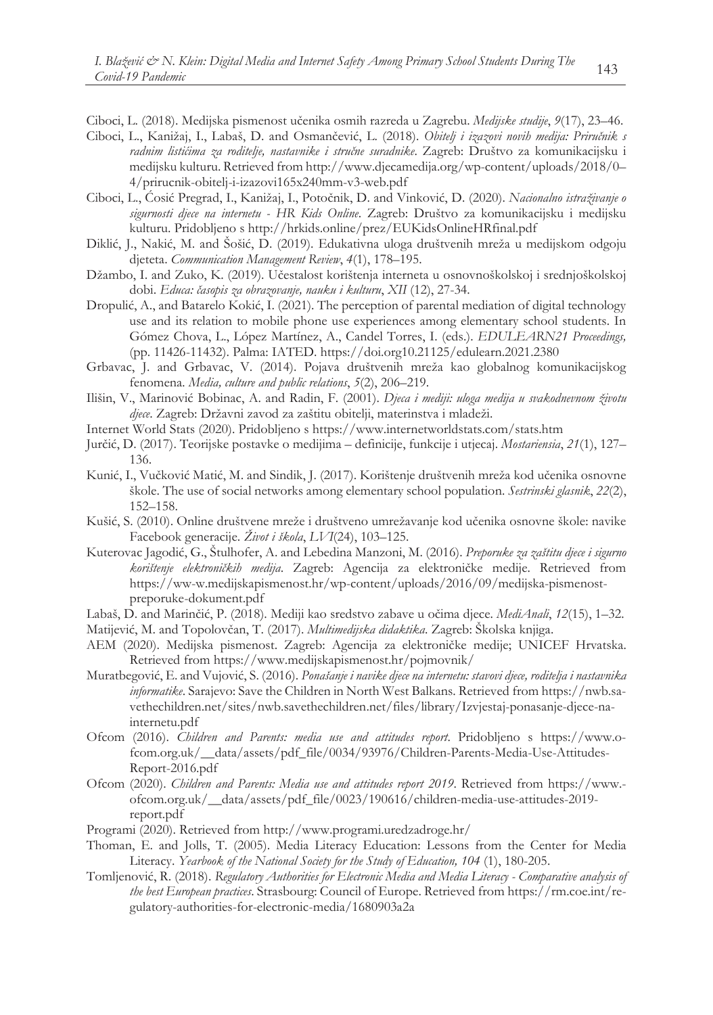Ciboci, L. (2018). Medijska pismenost učenika osmih razreda u Zagrebu. *Medijske studije*, *9*(17), 23–46.

- Ciboci, L., Kanižaj, I., Labaš, D. and Osmančević, L. (2018). *Obitelj i izazovi novih medija: Priručnik s radnim listićima za roditelje, nastavnike i stručne suradnike*. Zagreb: Društvo za komunikacijsku i medijsku kulturu. Retrieved from http://www.djecamedija.org/wp-content/uploads/2018/0– 4/prirucnik-obitelj-i-izazovi165x240mm-v3-web.pdf
- Ciboci, L., Ćosić Pregrad, I., Kanižaj, I., Potočnik, D. and Vinković, D. (2020). *Nacionalno istraživanje o sigurnosti djece na internetu - HR Kids Online*. Zagreb: Društvo za komunikacijsku i medijsku kulturu. Pridobljeno s http://hrkids.online/prez/EUKidsOnlineHRfinal.pdf
- Diklić, J., Nakić, M. and Šošić, D. (2019). Edukativna uloga društvenih mreža u medijskom odgoju djeteta. *Communication Management Review*, *4*(1), 178–195.
- Džambo, I. and Zuko, K. (2019). Učestalost korištenja interneta u osnovnoškolskoj i srednjoškolskoj dobi. *Educa: časopis za obrazovanje, nauku i kulturu*, *XII* (12), 27-34.
- Dropulić, A., and Batarelo Kokić, I. (2021). The perception of parental mediation of digital technology use and its relation to mobile phone use experiences among elementary school students. In Gómez Chova, L., López Martínez, A., Candel Torres, I. (eds.). *EDULEARN21 Proceedings,* (pp. 11426-11432). Palma: IATED. https://doi.org10.21125/edulearn.2021.2380
- Grbavac, J. and Grbavac, V. (2014). Pojava društvenih mreža kao globalnog komunikacijskog fenomena*. Media, culture and public relations*, *5*(2), 206–219.
- Ilišin, V., Marinović Bobinac, A. and Radin, F. (2001). *Djeca i mediji: uloga medija u svakodnevnom životu djece*. Zagreb: Državni zavod za zaštitu obitelji, materinstva i mladeži.
- Internet World Stats (2020). Pridobljeno s https://www.internetworldstats.com/stats.htm
- Jurčić, D. (2017). Teorijske postavke o medijima definicije, funkcije i utjecaj. *Mostariensia*, *21*(1), 127– 136.
- Kunić, I., Vučković Matić, M. and Sindik, J. (2017). Korištenje društvenih mreža kod učenika osnovne škole. The use of social networks among elementary school population. *Sestrinski glasnik*, *22*(2), 152–158.
- Kušić, S. (2010). Online društvene mreže i društveno umrežavanje kod učenika osnovne škole: navike Facebook generacije. *Život i škola*, *LVI*(24), 103–125.
- Kuterovac Jagodić, G., Štulhofer, A. and Lebedina Manzoni, M. (2016). *Preporuke za zaštitu djece i sigurno korištenje elektroničkih medija*. Zagreb: Agencija za elektroničke medije. Retrieved from https://ww-w.medijskapismenost.hr/wp-content/uploads/2016/09/medijska-pismenostpreporuke-dokument.pdf
- Labaš, D. and Marinčić, P. (2018). Mediji kao sredstvo zabave u očima djece. *MediAnali*, *12*(15), 1–32.
- Matijević, M. and Topolovčan, T. (2017). *Multimedijska didaktika*. Zagreb: Školska knjiga.
- AEM (2020). Medijska pismenost. Zagreb: Agencija za elektroničke medije; UNICEF Hrvatska. Retrieved from https://www.medijskapismenost.hr/pojmovnik/
- Muratbegović, E. and Vujović, S. (2016). *Ponašanje i navike djece na internetu: stavovi djece, roditelja i nastavnika informatike*. Sarajevo: Save the Children in North West Balkans. Retrieved from https://nwb.savethechildren.net/sites/nwb.savethechildren.net/files/library/Izvjestaj-ponasanje-djece-nainternetu.pdf
- Ofcom (2016). *Children and Parents: media use and attitudes report*. Pridobljeno s https://www.ofcom.org.uk/\_\_data/assets/pdf\_file/0034/93976/Children-Parents-Media-Use-Attitudes-Report-2016.pdf
- Ofcom (2020). *Children and Parents: Media use and attitudes report 2019*. Retrieved from https://www. ofcom.org.uk/\_\_data/assets/pdf\_file/0023/190616/children-media-use-attitudes-2019 report.pdf
- Programi (2020). Retrieved from http://www.programi.uredzadroge.hr/
- Thoman, E. and Jolls, T. (2005). Media Literacy Education: Lessons from the Center for Media Literacy. *Yearbook of the National Society for the Study of Education, 104* (1), 180-205.
- Tomljenović, R. (2018). *Regulatory Authorities for Electronic Media and Media Literacy - Comparative analysis of the best European practices*. Strasbourg: Council of Europe. Retrieved from https://rm.coe.int/regulatory-authorities-for-electronic-media/1680903a2a